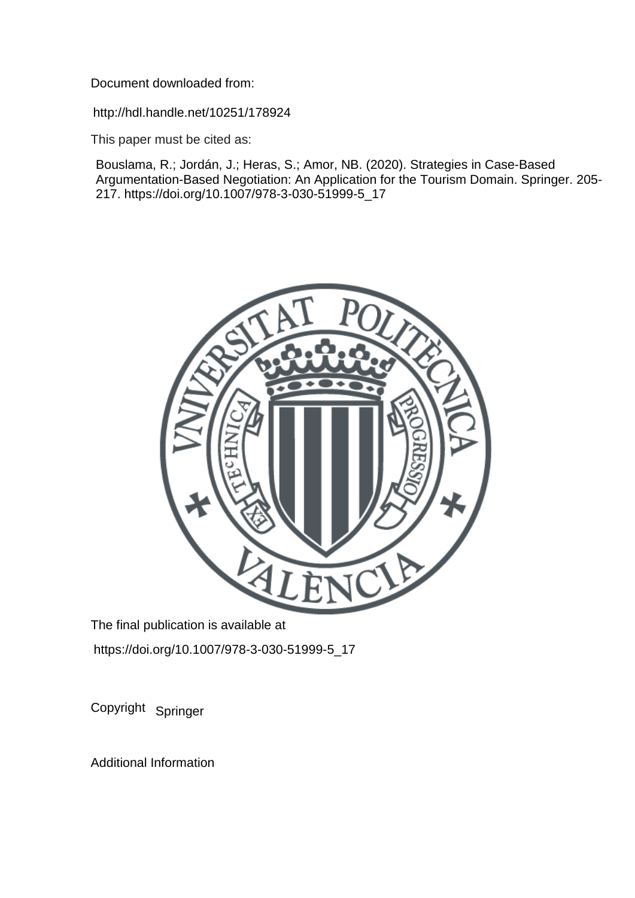Document downloaded from:

http://hdl.handle.net/10251/178924

This paper must be cited as:

Bouslama, R.; Jordán, J.; Heras, S.; Amor, NB. (2020). Strategies in Case-Based Argumentation-Based Negotiation: An Application for the Tourism Domain. Springer. 205- 217. https://doi.org/10.1007/978-3-030-51999-5\_17



The final publication is available at https://doi.org/10.1007/978-3-030-51999-5\_17

Copyright Springer

Additional Information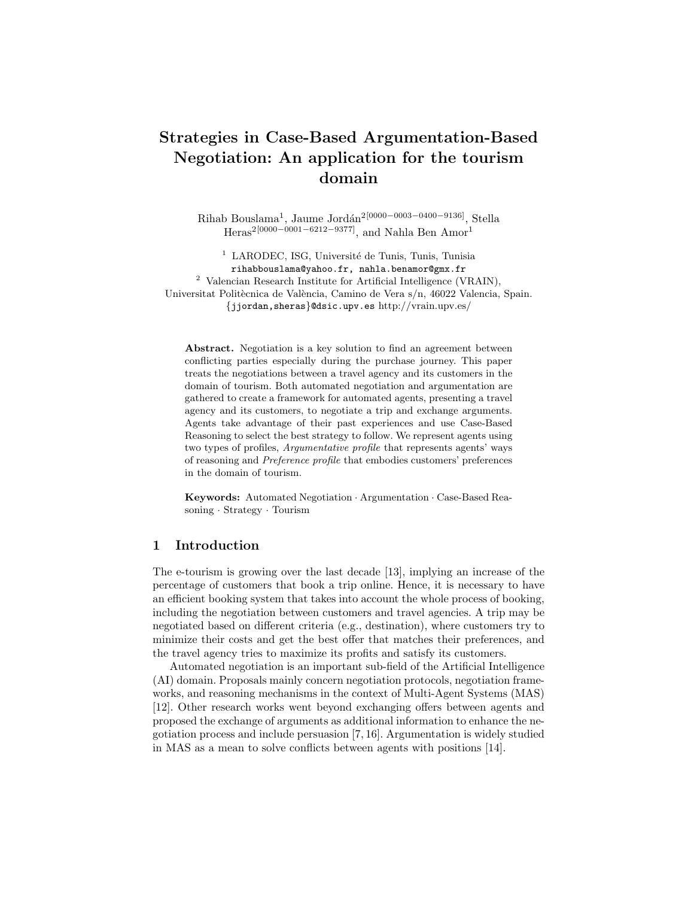# Strategies in Case-Based Argumentation-Based Negotiation: An application for the tourism domain

Rihab Bouslama<sup>1</sup>, Jaume Jordán<sup>2[0000–0003–0400–9136]</sup>, Stella Heras2[0000−0001−6212−9377], and Nahla Ben Amor<sup>1</sup>

 $1$  LARODEC, ISG, Université de Tunis, Tunis, Tunisia rihabbouslama@yahoo.fr, nahla.benamor@gmx.fr <sup>2</sup> Valencian Research Institute for Artificial Intelligence (VRAIN), Universitat Politècnica de València, Camino de Vera s/n, 46022 Valencia, Spain. {jjordan,sheras}@dsic.upv.es http://vrain.upv.es/

Abstract. Negotiation is a key solution to find an agreement between conflicting parties especially during the purchase journey. This paper treats the negotiations between a travel agency and its customers in the domain of tourism. Both automated negotiation and argumentation are gathered to create a framework for automated agents, presenting a travel agency and its customers, to negotiate a trip and exchange arguments. Agents take advantage of their past experiences and use Case-Based Reasoning to select the best strategy to follow. We represent agents using two types of profiles, Argumentative profile that represents agents' ways of reasoning and Preference profile that embodies customers' preferences in the domain of tourism.

Keywords: Automated Negotiation · Argumentation · Case-Based Reasoning · Strategy · Tourism

## 1 Introduction

The e-tourism is growing over the last decade [13], implying an increase of the percentage of customers that book a trip online. Hence, it is necessary to have an efficient booking system that takes into account the whole process of booking, including the negotiation between customers and travel agencies. A trip may be negotiated based on different criteria (e.g., destination), where customers try to minimize their costs and get the best offer that matches their preferences, and the travel agency tries to maximize its profits and satisfy its customers.

Automated negotiation is an important sub-field of the Artificial Intelligence (AI) domain. Proposals mainly concern negotiation protocols, negotiation frameworks, and reasoning mechanisms in the context of Multi-Agent Systems (MAS) [12]. Other research works went beyond exchanging offers between agents and proposed the exchange of arguments as additional information to enhance the negotiation process and include persuasion [7, 16]. Argumentation is widely studied in MAS as a mean to solve conflicts between agents with positions [14].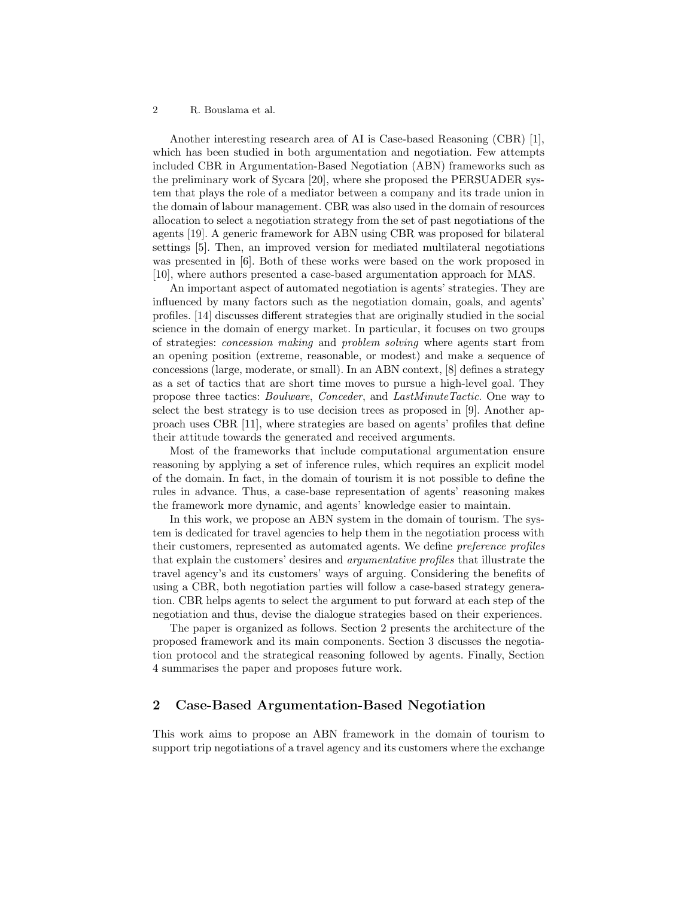#### 2 R. Bouslama et al.

Another interesting research area of AI is Case-based Reasoning (CBR) [1], which has been studied in both argumentation and negotiation. Few attempts included CBR in Argumentation-Based Negotiation (ABN) frameworks such as the preliminary work of Sycara [20], where she proposed the PERSUADER system that plays the role of a mediator between a company and its trade union in the domain of labour management. CBR was also used in the domain of resources allocation to select a negotiation strategy from the set of past negotiations of the agents [19]. A generic framework for ABN using CBR was proposed for bilateral settings [5]. Then, an improved version for mediated multilateral negotiations was presented in [6]. Both of these works were based on the work proposed in [10], where authors presented a case-based argumentation approach for MAS.

An important aspect of automated negotiation is agents' strategies. They are influenced by many factors such as the negotiation domain, goals, and agents' profiles. [14] discusses different strategies that are originally studied in the social science in the domain of energy market. In particular, it focuses on two groups of strategies: concession making and problem solving where agents start from an opening position (extreme, reasonable, or modest) and make a sequence of concessions (large, moderate, or small). In an ABN context, [8] defines a strategy as a set of tactics that are short time moves to pursue a high-level goal. They propose three tactics: Boulware, Conceder, and LastMinuteTactic. One way to select the best strategy is to use decision trees as proposed in [9]. Another approach uses CBR [11], where strategies are based on agents' profiles that define their attitude towards the generated and received arguments.

Most of the frameworks that include computational argumentation ensure reasoning by applying a set of inference rules, which requires an explicit model of the domain. In fact, in the domain of tourism it is not possible to define the rules in advance. Thus, a case-base representation of agents' reasoning makes the framework more dynamic, and agents' knowledge easier to maintain.

In this work, we propose an ABN system in the domain of tourism. The system is dedicated for travel agencies to help them in the negotiation process with their customers, represented as automated agents. We define preference profiles that explain the customers' desires and argumentative profiles that illustrate the travel agency's and its customers' ways of arguing. Considering the benefits of using a CBR, both negotiation parties will follow a case-based strategy generation. CBR helps agents to select the argument to put forward at each step of the negotiation and thus, devise the dialogue strategies based on their experiences.

The paper is organized as follows. Section 2 presents the architecture of the proposed framework and its main components. Section 3 discusses the negotiation protocol and the strategical reasoning followed by agents. Finally, Section 4 summarises the paper and proposes future work.

# 2 Case-Based Argumentation-Based Negotiation

This work aims to propose an ABN framework in the domain of tourism to support trip negotiations of a travel agency and its customers where the exchange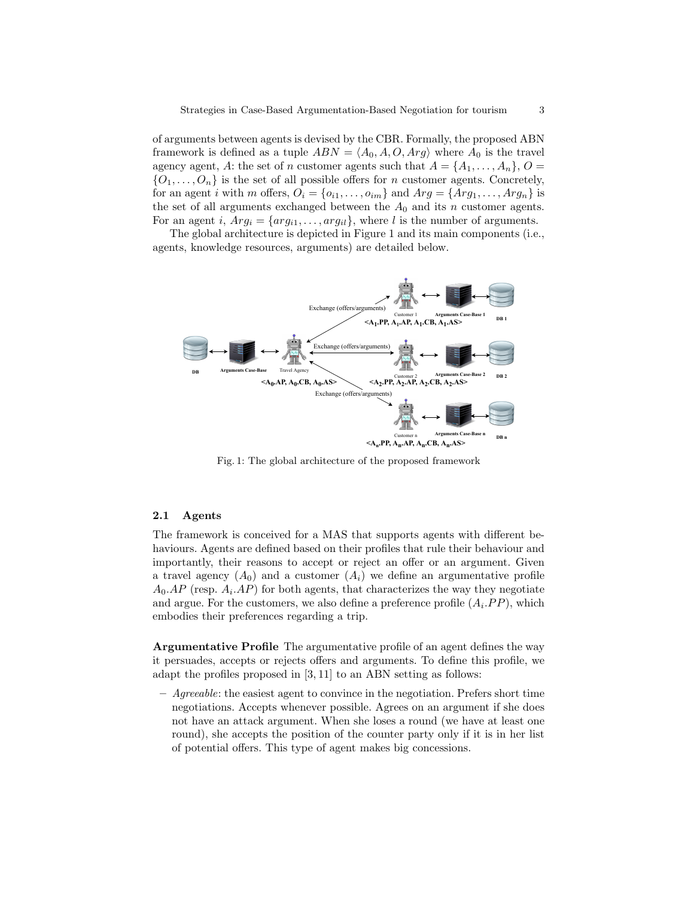of arguments between agents is devised by the CBR. Formally, the proposed ABN framework is defined as a tuple  $ABN = \langle A_0, A, O, Arg \rangle$  where  $A_0$  is the travel agency agent, A: the set of n customer agents such that  $A = \{A_1, \ldots, A_n\}, O =$  $\{O_1, \ldots, O_n\}$  is the set of all possible offers for *n* customer agents. Concretely, for an agent *i* with m offers,  $O_i = \{o_{i1}, \ldots, o_{im}\}\$  and  $Arg = \{Arg_1, \ldots, Arg_n\}\$  is the set of all arguments exchanged between the  $A_0$  and its n customer agents. For an agent i,  $Arg_i = \{arg_{i1}, \ldots, arg_{il}\}\$ , where l is the number of arguments.

The global architecture is depicted in Figure 1 and its main components (i.e., agents, knowledge resources, arguments) are detailed below.



Fig. 1: The global architecture of the proposed framework

## 2.1 Agents

The framework is conceived for a MAS that supports agents with different behaviours. Agents are defined based on their profiles that rule their behaviour and importantly, their reasons to accept or reject an offer or an argument. Given a travel agency  $(A_0)$  and a customer  $(A_i)$  we define an argumentative profile  $A_0$ . AP (resp.  $A_i$ . AP) for both agents, that characterizes the way they negotiate and argue. For the customers, we also define a preference profile  $(A_i.PP)$ , which embodies their preferences regarding a trip.

Argumentative Profile The argumentative profile of an agent defines the way it persuades, accepts or rejects offers and arguments. To define this profile, we adapt the profiles proposed in [3, 11] to an ABN setting as follows:

 $-$  Agreeable: the easiest agent to convince in the negotiation. Prefers short time negotiations. Accepts whenever possible. Agrees on an argument if she does not have an attack argument. When she loses a round (we have at least one round), she accepts the position of the counter party only if it is in her list of potential offers. This type of agent makes big concessions.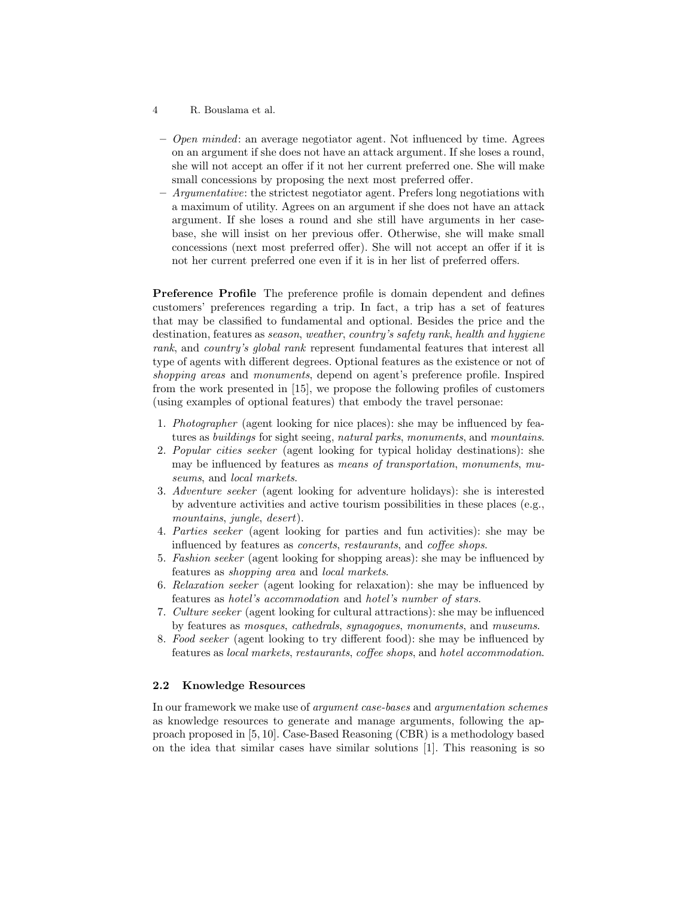- 4 R. Bouslama et al.
- $-$  Open minded: an average negotiator agent. Not influenced by time. Agrees on an argument if she does not have an attack argument. If she loses a round, she will not accept an offer if it not her current preferred one. She will make small concessions by proposing the next most preferred offer.
- Argumentative: the strictest negotiator agent. Prefers long negotiations with a maximum of utility. Agrees on an argument if she does not have an attack argument. If she loses a round and she still have arguments in her casebase, she will insist on her previous offer. Otherwise, she will make small concessions (next most preferred offer). She will not accept an offer if it is not her current preferred one even if it is in her list of preferred offers.

Preference Profile The preference profile is domain dependent and defines customers' preferences regarding a trip. In fact, a trip has a set of features that may be classified to fundamental and optional. Besides the price and the destination, features as *season*, weather, country's safety rank, health and hygiene rank, and country's global rank represent fundamental features that interest all type of agents with different degrees. Optional features as the existence or not of shopping areas and monuments, depend on agent's preference profile. Inspired from the work presented in [15], we propose the following profiles of customers (using examples of optional features) that embody the travel personae:

- 1. Photographer (agent looking for nice places): she may be influenced by features as buildings for sight seeing, natural parks, monuments, and mountains.
- 2. Popular cities seeker (agent looking for typical holiday destinations): she may be influenced by features as means of transportation, monuments, museums, and local markets.
- 3. Adventure seeker (agent looking for adventure holidays): she is interested by adventure activities and active tourism possibilities in these places (e.g., mountains, jungle, desert).
- 4. Parties seeker (agent looking for parties and fun activities): she may be influenced by features as concerts, restaurants, and coffee shops.
- 5. Fashion seeker (agent looking for shopping areas): she may be influenced by features as shopping area and local markets.
- 6. Relaxation seeker (agent looking for relaxation): she may be influenced by features as hotel's accommodation and hotel's number of stars.
- 7. Culture seeker (agent looking for cultural attractions): she may be influenced by features as mosques, cathedrals, synagogues, monuments, and museums.
- 8. Food seeker (agent looking to try different food): she may be influenced by features as local markets, restaurants, coffee shops, and hotel accommodation.

## 2.2 Knowledge Resources

In our framework we make use of argument case-bases and argumentation schemes as knowledge resources to generate and manage arguments, following the approach proposed in [5, 10]. Case-Based Reasoning (CBR) is a methodology based on the idea that similar cases have similar solutions [1]. This reasoning is so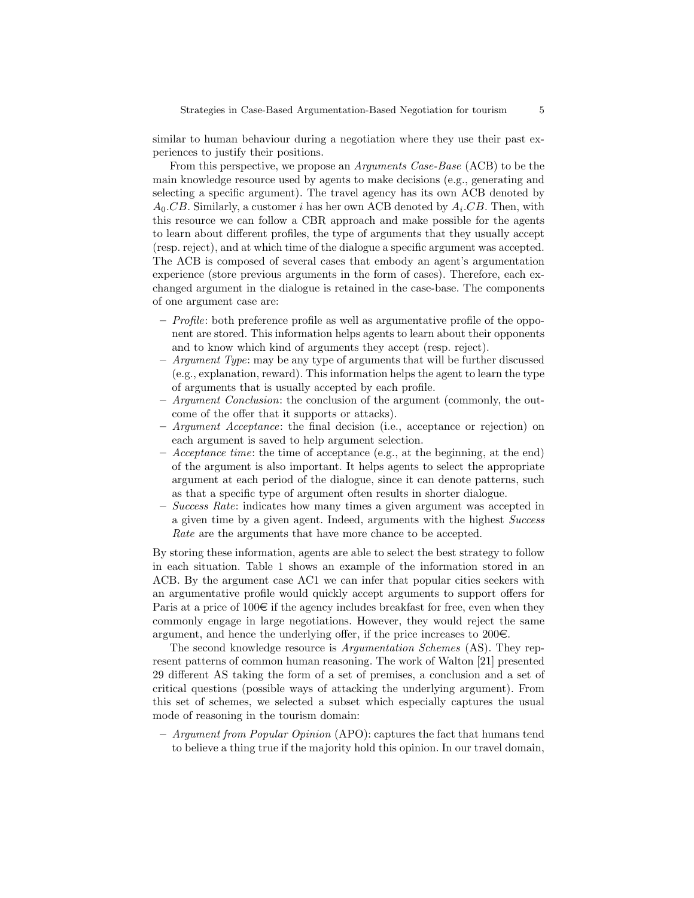similar to human behaviour during a negotiation where they use their past experiences to justify their positions.

From this perspective, we propose an Arguments Case-Base (ACB) to be the main knowledge resource used by agents to make decisions (e.g., generating and selecting a specific argument). The travel agency has its own ACB denoted by  $A_0$ .CB. Similarly, a customer i has her own ACB denoted by  $A_i$ .CB. Then, with this resource we can follow a CBR approach and make possible for the agents to learn about different profiles, the type of arguments that they usually accept (resp. reject), and at which time of the dialogue a specific argument was accepted. The ACB is composed of several cases that embody an agent's argumentation experience (store previous arguments in the form of cases). Therefore, each exchanged argument in the dialogue is retained in the case-base. The components of one argument case are:

- $-$  *Profile:* both preference profile as well as argumentative profile of the opponent are stored. This information helps agents to learn about their opponents and to know which kind of arguments they accept (resp. reject).
- Argument Type: may be any type of arguments that will be further discussed (e.g., explanation, reward). This information helps the agent to learn the type of arguments that is usually accepted by each profile.
- $-$  Argument Conclusion: the conclusion of the argument (commonly, the outcome of the offer that it supports or attacks).
- Argument Acceptance: the final decision (i.e., acceptance or rejection) on each argument is saved to help argument selection.
- $-$  *Acceptance time:* the time of acceptance (e.g., at the beginning, at the end) of the argument is also important. It helps agents to select the appropriate argument at each period of the dialogue, since it can denote patterns, such as that a specific type of argument often results in shorter dialogue.
- Success Rate: indicates how many times a given argument was accepted in a given time by a given agent. Indeed, arguments with the highest Success Rate are the arguments that have more chance to be accepted.

By storing these information, agents are able to select the best strategy to follow in each situation. Table 1 shows an example of the information stored in an ACB. By the argument case AC1 we can infer that popular cities seekers with an argumentative profile would quickly accept arguments to support offers for Paris at a price of  $100\epsilon$  if the agency includes breakfast for free, even when they commonly engage in large negotiations. However, they would reject the same argument, and hence the underlying offer, if the price increases to  $200\epsilon$ .

The second knowledge resource is Argumentation Schemes (AS). They represent patterns of common human reasoning. The work of Walton [21] presented 29 different AS taking the form of a set of premises, a conclusion and a set of critical questions (possible ways of attacking the underlying argument). From this set of schemes, we selected a subset which especially captures the usual mode of reasoning in the tourism domain:

– Argument from Popular Opinion (APO): captures the fact that humans tend to believe a thing true if the majority hold this opinion. In our travel domain,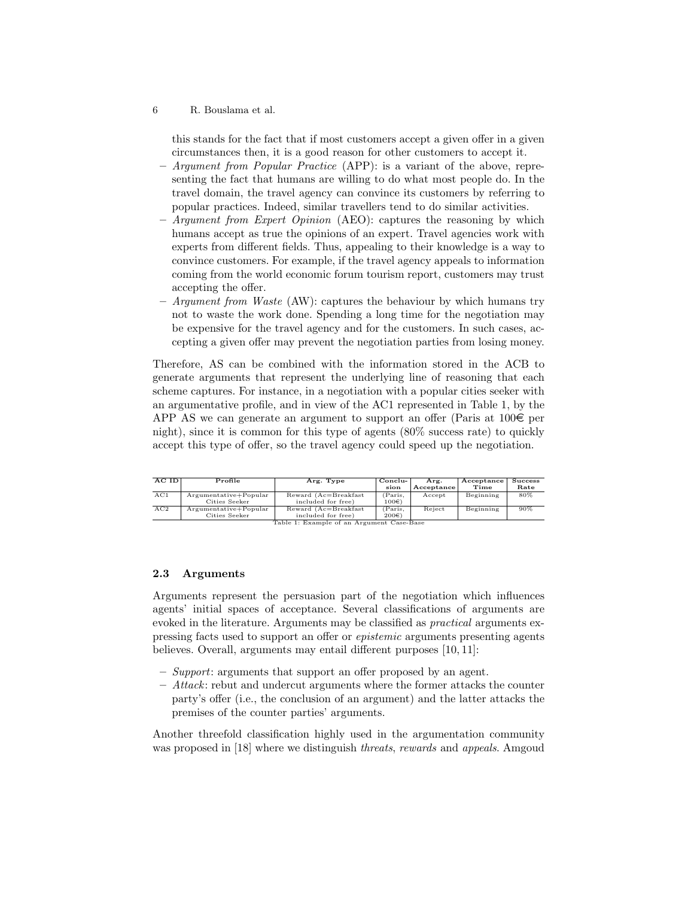#### 6 R. Bouslama et al.

this stands for the fact that if most customers accept a given offer in a given circumstances then, it is a good reason for other customers to accept it.

- Argument from Popular Practice (APP): is a variant of the above, representing the fact that humans are willing to do what most people do. In the travel domain, the travel agency can convince its customers by referring to popular practices. Indeed, similar travellers tend to do similar activities.
- $-$  Argument from Expert Opinion (AEO): captures the reasoning by which humans accept as true the opinions of an expert. Travel agencies work with experts from different fields. Thus, appealing to their knowledge is a way to convince customers. For example, if the travel agency appeals to information coming from the world economic forum tourism report, customers may trust accepting the offer.
- $-$  Argument from Waste (AW): captures the behaviour by which humans try not to waste the work done. Spending a long time for the negotiation may be expensive for the travel agency and for the customers. In such cases, accepting a given offer may prevent the negotiation parties from losing money.

Therefore, AS can be combined with the information stored in the ACB to generate arguments that represent the underlying line of reasoning that each scheme captures. For instance, in a negotiation with a popular cities seeker with an argumentative profile, and in view of the AC1 represented in Table 1, by the APP AS we can generate an argument to support an offer (Paris at  $100\epsilon$  per night), since it is common for this type of agents (80% success rate) to quickly accept this type of offer, so the travel agency could speed up the negotiation.

| $AC$ $ID$                                 | Profile               | Arg. Type             | Conclu-               | Arg.       | Acceptance | <b>Success</b> |
|-------------------------------------------|-----------------------|-----------------------|-----------------------|------------|------------|----------------|
|                                           |                       |                       | sion                  | Acceptance | Time       | Rate           |
| AC1                                       | Argumentative+Popular | Reward (Ac=Breakfast) | Paris.                | Accept     | Beginning  | 80%            |
|                                           | Cities Seeker         | included for free)    | 100€)                 |            |            |                |
| AC2                                       | Argumentative+Popular | Reward (Ac=Breakfast) | Paris.                | Reject     | Beginning  | 90%            |
|                                           | Cities Seeker         | included for free)    | $200 \in \mathcal{E}$ |            |            |                |
| Table 1: Example of an Argument Case-Base |                       |                       |                       |            |            |                |

#### 2.3 Arguments

Arguments represent the persuasion part of the negotiation which influences agents' initial spaces of acceptance. Several classifications of arguments are evoked in the literature. Arguments may be classified as practical arguments expressing facts used to support an offer or epistemic arguments presenting agents believes. Overall, arguments may entail different purposes [10, 11]:

- Support: arguments that support an offer proposed by an agent.
- $-$  Attack: rebut and undercut arguments where the former attacks the counter party's offer (i.e., the conclusion of an argument) and the latter attacks the premises of the counter parties' arguments.

Another threefold classification highly used in the argumentation community was proposed in [18] where we distinguish *threats, rewards* and *appeals*. Amgoud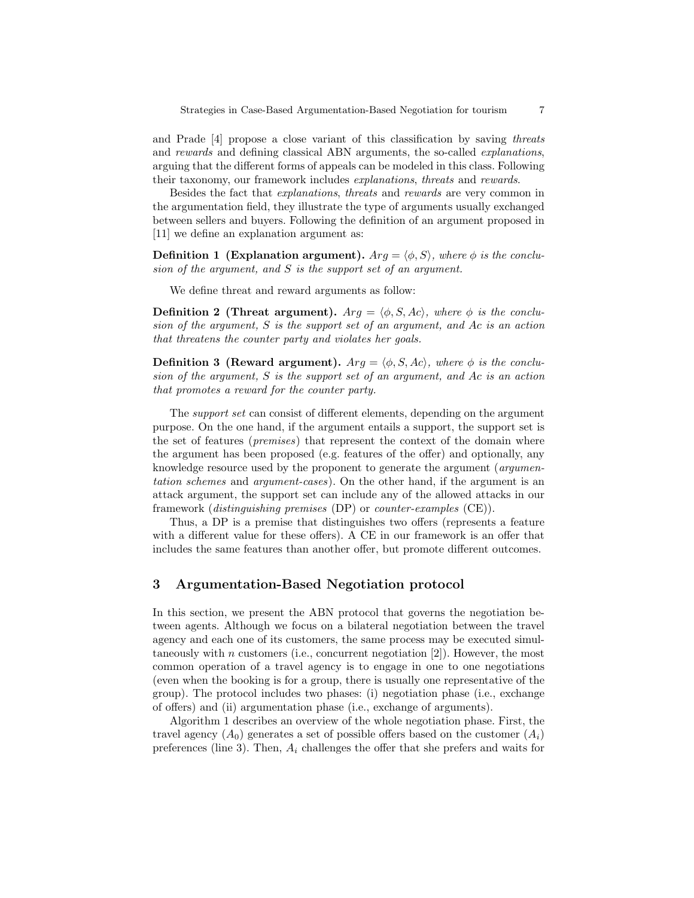and Prade [4] propose a close variant of this classification by saving threats and rewards and defining classical ABN arguments, the so-called explanations, arguing that the different forms of appeals can be modeled in this class. Following their taxonomy, our framework includes explanations, threats and rewards.

Besides the fact that explanations, threats and rewards are very common in the argumentation field, they illustrate the type of arguments usually exchanged between sellers and buyers. Following the definition of an argument proposed in [11] we define an explanation argument as:

**Definition 1 (Explanation argument).**  $Arg = \langle \phi, S \rangle$ , where  $\phi$  is the conclusion of the argument, and S is the support set of an argument.

We define threat and reward arguments as follow:

**Definition 2 (Threat argument).**  $Arg = \langle \phi, S, Ac \rangle$ , where  $\phi$  is the conclusion of the argument, S is the support set of an argument, and Ac is an action that threatens the counter party and violates her goals.

**Definition 3 (Reward argument).**  $Arg = \langle \phi, S, Ac \rangle$ , where  $\phi$  is the conclusion of the argument, S is the support set of an argument, and Ac is an action that promotes a reward for the counter party.

The support set can consist of different elements, depending on the argument purpose. On the one hand, if the argument entails a support, the support set is the set of features (premises) that represent the context of the domain where the argument has been proposed (e.g. features of the offer) and optionally, any knowledge resource used by the proponent to generate the argument (argumentation schemes and argument-cases). On the other hand, if the argument is an attack argument, the support set can include any of the allowed attacks in our framework (distinguishing premises (DP) or counter-examples (CE)).

Thus, a DP is a premise that distinguishes two offers (represents a feature with a different value for these offers). A CE in our framework is an offer that includes the same features than another offer, but promote different outcomes.

## 3 Argumentation-Based Negotiation protocol

In this section, we present the ABN protocol that governs the negotiation between agents. Although we focus on a bilateral negotiation between the travel agency and each one of its customers, the same process may be executed simultaneously with *n* customers (i.e., concurrent negotiation  $[2]$ ). However, the most common operation of a travel agency is to engage in one to one negotiations (even when the booking is for a group, there is usually one representative of the group). The protocol includes two phases: (i) negotiation phase (i.e., exchange of offers) and (ii) argumentation phase (i.e., exchange of arguments).

Algorithm 1 describes an overview of the whole negotiation phase. First, the travel agency  $(A_0)$  generates a set of possible offers based on the customer  $(A_i)$ preferences (line 3). Then,  $A_i$  challenges the offer that she prefers and waits for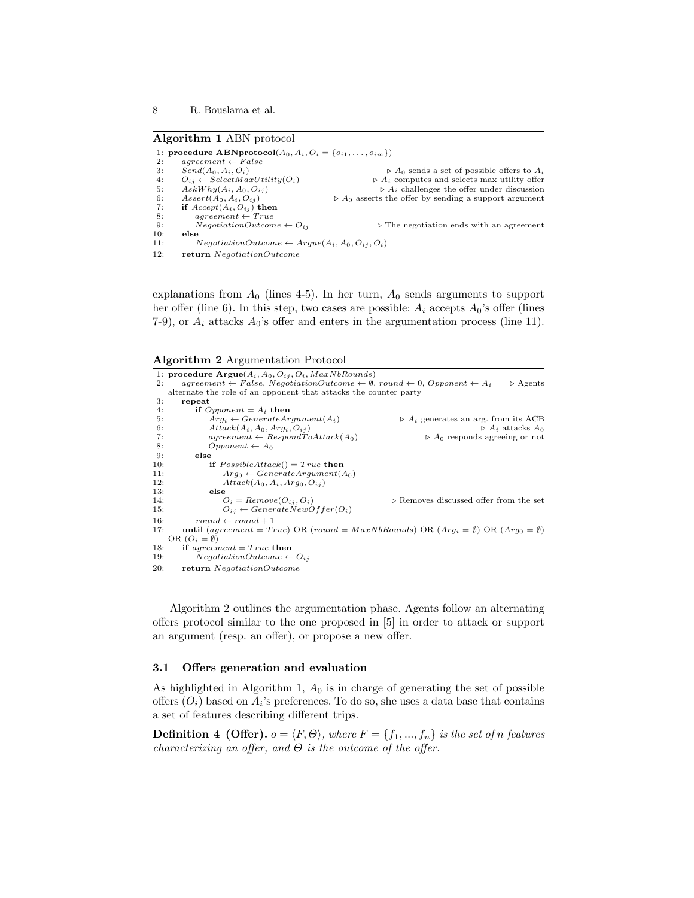Algorithm 1 ABN protocol

|     | 1: procedure ABNprotocol( $A_0, A_i, O_i = \{o_{i1}, \ldots, o_{im}\}\$ ) |                                                                                 |  |  |  |  |  |
|-----|---------------------------------------------------------------------------|---------------------------------------------------------------------------------|--|--|--|--|--|
| 2:  | $a areement \leftarrow False$                                             |                                                                                 |  |  |  |  |  |
| 3:  | $Send(A_0, A_i, O_i)$                                                     | $\triangleright A_0$ sends a set of possible offers to $A_i$                    |  |  |  |  |  |
| 4:  | $O_{ij} \leftarrow SelectMaxUtility(O_i)$                                 | $\triangleright$ A <sub>i</sub> computes and selects max utility offer          |  |  |  |  |  |
| 5:  | $AskWhy(A_i, A_0, O_{ij})$                                                | $\triangleright A_i$ challenges the offer under discussion                      |  |  |  |  |  |
| 6:  | $\textit{Asset}(A_0, A_i, O_{ii})$                                        | $\triangleright$ A <sub>0</sub> asserts the offer by sending a support argument |  |  |  |  |  |
| 7:  | if $Accept(A_i, O_{ij})$ then                                             |                                                                                 |  |  |  |  |  |
| -8: | $a$ qreement $\leftarrow True$                                            |                                                                                 |  |  |  |  |  |
| 9:  | $NeqotiationOutcome \leftarrow O_{ii}$                                    | $\triangleright$ The negotiation ends with an agreement                         |  |  |  |  |  |
| 10: | else                                                                      |                                                                                 |  |  |  |  |  |
| 11: | $NegotiationOutcome \leftarrow Argue(A_i, A_0, O_{ii}, O_i)$              |                                                                                 |  |  |  |  |  |
| 12: | return NegotiationOutcome                                                 |                                                                                 |  |  |  |  |  |

explanations from  $A_0$  (lines 4-5). In her turn,  $A_0$  sends arguments to support her offer (line 6). In this step, two cases are possible:  $A_i$  accepts  $A_0$ 's offer (lines 7-9), or  $A_i$  attacks  $A_0$ 's offer and enters in the argumentation process (line 11).

Algorithm 2 Argumentation Protocol

| ີ                                                                                                                                            |
|----------------------------------------------------------------------------------------------------------------------------------------------|
| 1: procedure $Argue(A_i, A_0, O_{ij}, O_i, MaxNbRounds)$                                                                                     |
| $agreement \leftarrow False, NegotiationOutcome \leftarrow \emptyset, round \leftarrow 0, Opponen \leftarrow A_i$<br>$\triangleright$ Agents |
| alternate the role of an opponent that attacks the counter party                                                                             |
| repeat                                                                                                                                       |
| if $Oppoment = A_i$ then                                                                                                                     |
| $Arg_i \leftarrow GenerateArgument(A_i)$<br>$\triangleright$ A <sub>i</sub> generates an arg. from its ACB                                   |
| $Attack(A_i, A_0, Arg_i, O_{ij})$<br>$\triangleright A_i$ attacks $A_0$                                                                      |
| $agreement \leftarrow RespondToAttack(A_0)$<br>$\triangleright$ A <sub>0</sub> responds agreeing or not                                      |
| $Opponen t \leftarrow A_0$                                                                                                                   |
| else                                                                                                                                         |
| if $PossibleAttack() = True$ then                                                                                                            |
| $Arg_0 \leftarrow GenerateArgument(A_0)$                                                                                                     |
| $Attack(A_0, A_i, Arg_0, O_{ii})$                                                                                                            |
| else                                                                                                                                         |
| $O_i = Remove(O_{ij}, O_i)$<br>$\triangleright$ Removes discussed offer from the set                                                         |
| $O_{ij} \leftarrow GenerateNewOffer(O_i)$                                                                                                    |
| $round \leftarrow round + 1$                                                                                                                 |
| <b>until</b> (agreement = True) OR (round = $MaxNbRounds$ ) OR ( $Arg_i = \emptyset$ ) OR ( $Arg_0 = \emptyset$ )                            |
| OR $(O_i = \emptyset)$                                                                                                                       |
| if agreement = $True$ then                                                                                                                   |
| $NegotiationOutcome \leftarrow O_{ij}$                                                                                                       |
| <b>return</b> NegotiationOutcome                                                                                                             |
| 13:<br>14:<br>15:<br>16:<br>17:<br>18:<br>19:<br>20:                                                                                         |

Algorithm 2 outlines the argumentation phase. Agents follow an alternating offers protocol similar to the one proposed in [5] in order to attack or support an argument (resp. an offer), or propose a new offer.

### 3.1 Offers generation and evaluation

As highlighted in Algorithm 1,  $A_0$  is in charge of generating the set of possible offers  $(O_i)$  based on  $A_i$ 's preferences. To do so, she uses a data base that contains a set of features describing different trips.

**Definition 4 (Offer).**  $o = \langle F, \Theta \rangle$ , where  $F = \{f_1, ..., f_n\}$  is the set of n features characterizing an offer, and  $\Theta$  is the outcome of the offer.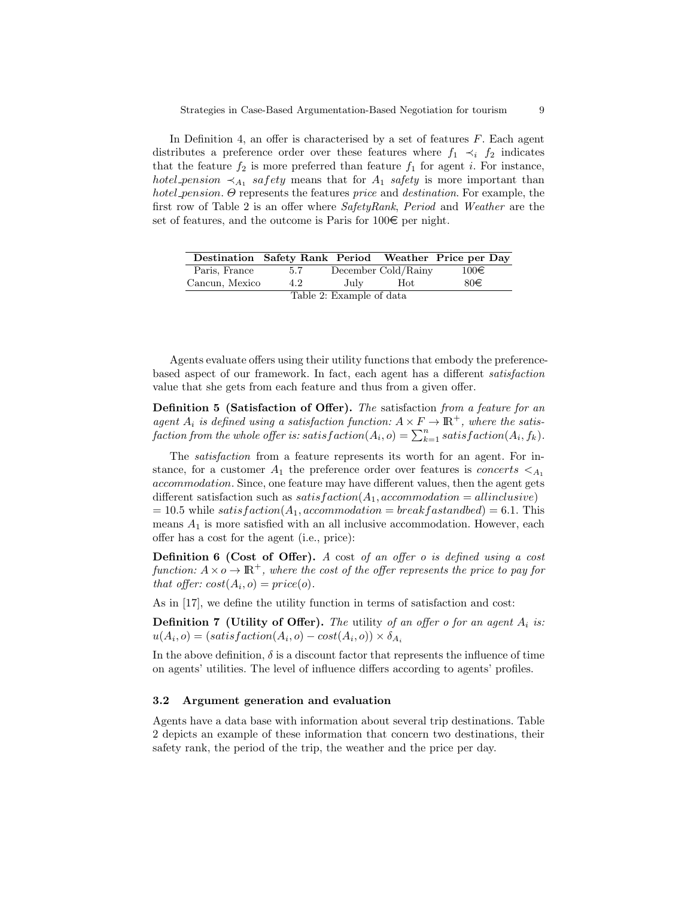In Definition 4, an offer is characterised by a set of features  $F$ . Each agent distributes a preference order over these features where  $f_1 \prec_i f_2$  indicates that the feature  $f_2$  is more preferred than feature  $f_1$  for agent *i*. For instance, hotel pension  $\prec_{A_1}$  safety means that for  $A_1$  safety is more important than hotel pension.  $\Theta$  represents the features price and destination. For example, the first row of Table 2 is an offer where SafetyRank, Period and Weather are the set of features, and the outcome is Paris for  $100\epsilon$  per night.

| Destination Safety Rank Period Weather Price per Day |     |      |                     |           |  |  |  |
|------------------------------------------------------|-----|------|---------------------|-----------|--|--|--|
| Paris, France                                        | 5.7 |      | December Cold/Rainy | $100 \in$ |  |  |  |
| Cancun, Mexico                                       | 4.2 | July | Hot                 | $80 \in$  |  |  |  |
| Table 2: Example of data                             |     |      |                     |           |  |  |  |

Agents evaluate offers using their utility functions that embody the preferencebased aspect of our framework. In fact, each agent has a different satisfaction value that she gets from each feature and thus from a given offer.

Definition 5 (Satisfaction of Offer). The satisfaction from a feature for an agent  $A_i$  is defined using a satisfaction function:  $A \times F \to \mathbb{R}^+$ , where the satisfaction from the whole offer is: satisfaction $(A_i, o) = \sum_{k=1}^n$  satisfaction $(A_i, f_k)$ .

The satisfaction from a feature represents its worth for an agent. For instance, for a customer  $A_1$  the preference order over features is *concerts*  $\leq_{A_1}$ accommodation. Since, one feature may have different values, then the agent gets different satisfaction such as  $satisfactor(A_1, $acommandation = all inclusive)$$  $= 10.5$  while satisfaction( $A_1$ , accommodation = breakf astandbed) = 6.1. This means  $A_1$  is more satisfied with an all inclusive accommodation. However, each offer has a cost for the agent (i.e., price):

Definition 6 (Cost of Offer). A cost of an offer o is defined using a cost function:  $A \times o \to \mathbb{R}^+$ , where the cost of the offer represents the price to pay for that offer:  $cost(A_i, o) = price(o)$ .

As in [17], we define the utility function in terms of satisfaction and cost:

**Definition 7 (Utility of Offer).** The utility of an offer o for an agent  $A_i$  is:  $u(A_i, o) = (satisfaction(A_i, o) - cost(A_i, o)) \times \delta_{A_i}$ 

In the above definition,  $\delta$  is a discount factor that represents the influence of time on agents' utilities. The level of influence differs according to agents' profiles.

## 3.2 Argument generation and evaluation

Agents have a data base with information about several trip destinations. Table 2 depicts an example of these information that concern two destinations, their safety rank, the period of the trip, the weather and the price per day.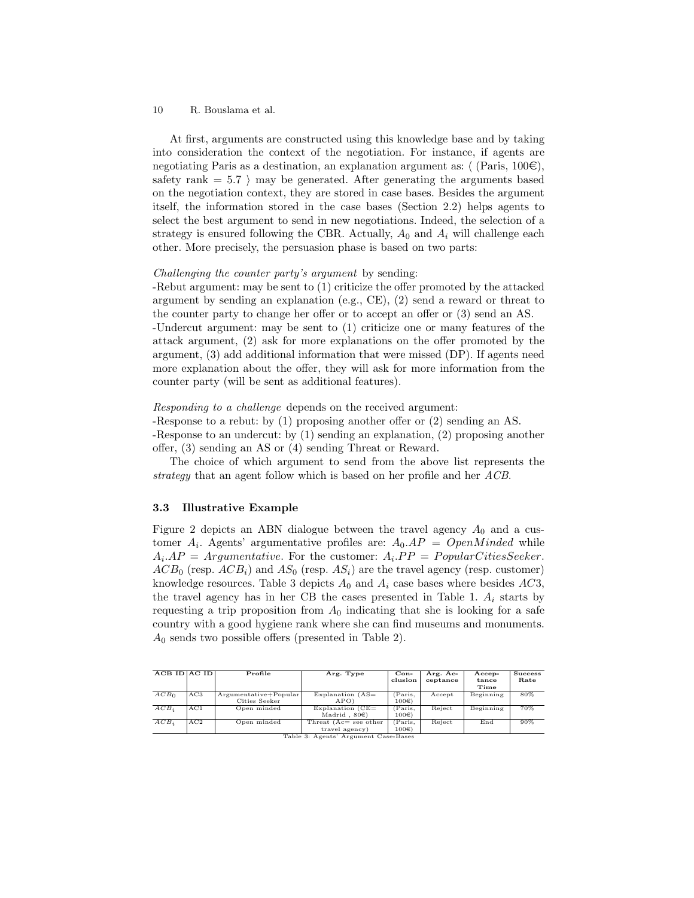10 R. Bouslama et al.

At first, arguments are constructed using this knowledge base and by taking into consideration the context of the negotiation. For instance, if agents are negotiating Paris as a destination, an explanation argument as:  $\langle$  (Paris, 100 $\in$ ), safety rank  $= 5.7$  may be generated. After generating the arguments based on the negotiation context, they are stored in case bases. Besides the argument itself, the information stored in the case bases (Section 2.2) helps agents to select the best argument to send in new negotiations. Indeed, the selection of a strategy is ensured following the CBR. Actually,  $A_0$  and  $A_i$  will challenge each other. More precisely, the persuasion phase is based on two parts:

#### Challenging the counter party's argument by sending:

-Rebut argument: may be sent to (1) criticize the offer promoted by the attacked argument by sending an explanation (e.g., CE), (2) send a reward or threat to the counter party to change her offer or to accept an offer or (3) send an AS. -Undercut argument: may be sent to (1) criticize one or many features of the attack argument, (2) ask for more explanations on the offer promoted by the argument, (3) add additional information that were missed (DP). If agents need more explanation about the offer, they will ask for more information from the counter party (will be sent as additional features).

Responding to a challenge depends on the received argument:

-Response to a rebut: by (1) proposing another offer or (2) sending an AS. -Response to an undercut: by (1) sending an explanation, (2) proposing another offer, (3) sending an AS or (4) sending Threat or Reward.

The choice of which argument to send from the above list represents the strategy that an agent follow which is based on her profile and her ACB.

#### 3.3 Illustrative Example

Figure 2 depicts an ABN dialogue between the travel agency  $A_0$  and a customer  $A_i$ . Agents' argumentative profiles are:  $A_0 \cdot AP = Open Minded$  while  $A_i$ . $AP = Argumentative$ . For the customer:  $A_i$ . $PP = PopularCitiesSeeker$ .  $ACB_0$  (resp.  $ACB_i$ ) and  $AS_0$  (resp.  $AS_i$ ) are the travel agency (resp. customer) knowledge resources. Table 3 depicts  $A_0$  and  $A_i$  case bases where besides AC3, the travel agency has in her CB the cases presented in Table 1.  $A_i$  starts by requesting a trip proposition from  $A_0$  indicating that she is looking for a safe country with a good hygiene rank where she can find museums and monuments.  $A_0$  sends two possible offers (presented in Table 2).

| ACB ID AC ID                         |     | Profile               | Arg. Type              | $_{\rm Con-}$ | Arg. Ac- | $Accept-$ | <b>Success</b> |
|--------------------------------------|-----|-----------------------|------------------------|---------------|----------|-----------|----------------|
|                                      |     |                       |                        | clusion       | ceptance | tance     | Rate           |
|                                      |     |                       |                        |               |          | Time      |                |
| ACB <sub>0</sub>                     | AC3 | Argumentative+Popular | Explanation $(AS=$     | Paris.        | Accept   | Beginning | 80%            |
|                                      |     | Cities Seeker         | APO                    | 100€)         |          |           |                |
| $ACB_i$                              | AC1 | Open minded           | Explanation $(CE=$     | Paris.        | Reject   | Beginning | 70%            |
|                                      |     |                       | Madrid, $80\text{E}$ ) | 100€)         |          |           |                |
| $ACB_i$                              | AC2 | Open minded           | Threat $(Ac=see other$ | Paris.        | Reject   | End       | $90\%$         |
|                                      |     |                       | travel agency)         | 100€)         |          |           |                |
| Table 3: Agents' Argument Case-Bases |     |                       |                        |               |          |           |                |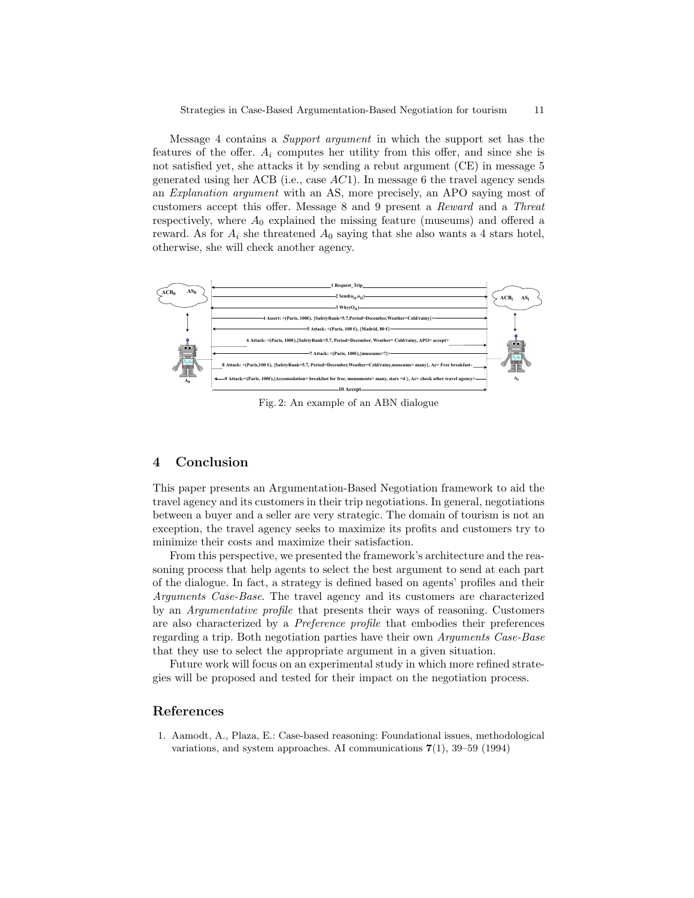Message 4 contains a Support argument in which the support set has the features of the offer.  $A_i$  computes her utility from this offer, and since she is not satisfied yet, she attacks it by sending a rebut argument (CE) in message 5 generated using her ACB (i.e., case AC1). In message 6 the travel agency sends an Explanation argument with an AS, more precisely, an APO saying most of customers accept this offer. Message 8 and 9 present a Reward and a Threat respectively, where  $A_0$  explained the missing feature (museums) and offered a reward. As for  $A_i$  she threatened  $A_0$  saying that she also wants a 4 stars hotel, otherwise, she will check another agency.



Fig. 2: An example of an ABN dialogue

# 4 Conclusion

This paper presents an Argumentation-Based Negotiation framework to aid the travel agency and its customers in their trip negotiations. In general, negotiations between a buyer and a seller are very strategic. The domain of tourism is not an exception, the travel agency seeks to maximize its profits and customers try to minimize their costs and maximize their satisfaction.

From this perspective, we presented the framework's architecture and the reasoning process that help agents to select the best argument to send at each part of the dialogue. In fact, a strategy is defined based on agents' profiles and their Arguments Case-Base. The travel agency and its customers are characterized by an Argumentative profile that presents their ways of reasoning. Customers are also characterized by a Preference profile that embodies their preferences regarding a trip. Both negotiation parties have their own Arguments Case-Base that they use to select the appropriate argument in a given situation.

Future work will focus on an experimental study in which more refined strategies will be proposed and tested for their impact on the negotiation process.

## References

1. Aamodt, A., Plaza, E.: Case-based reasoning: Foundational issues, methodological variations, and system approaches. AI communications  $7(1)$ , 39–59 (1994)